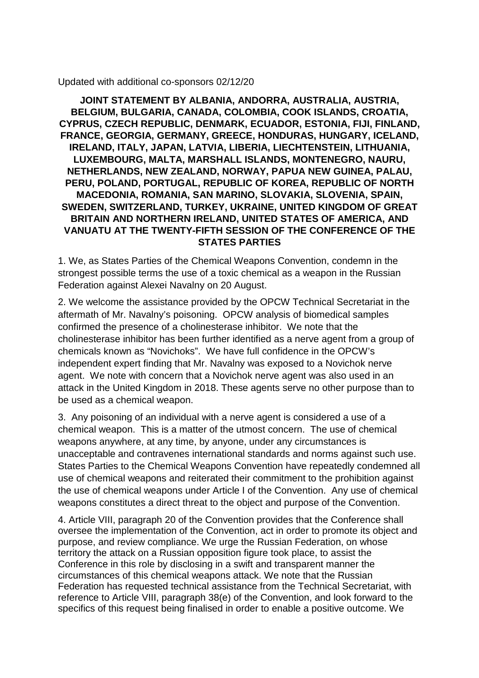## Updated with additional co-sponsors 02/12/20

**JOINT STATEMENT BY ALBANIA, ANDORRA, AUSTRALIA, AUSTRIA, BELGIUM, BULGARIA, CANADA, COLOMBIA, COOK ISLANDS, CROATIA, CYPRUS, CZECH REPUBLIC, DENMARK, ECUADOR, ESTONIA, FIJI, FINLAND, FRANCE, GEORGIA, GERMANY, GREECE, HONDURAS, HUNGARY, ICELAND, IRELAND, ITALY, JAPAN, LATVIA, LIBERIA, LIECHTENSTEIN, LITHUANIA, LUXEMBOURG, MALTA, MARSHALL ISLANDS, MONTENEGRO, NAURU, NETHERLANDS, NEW ZEALAND, NORWAY, PAPUA NEW GUINEA, PALAU, PERU, POLAND, PORTUGAL, REPUBLIC OF KOREA, REPUBLIC OF NORTH MACEDONIA, ROMANIA, SAN MARINO, SLOVAKIA, SLOVENIA, SPAIN, SWEDEN, SWITZERLAND, TURKEY, UKRAINE, UNITED KINGDOM OF GREAT BRITAIN AND NORTHERN IRELAND, UNITED STATES OF AMERICA, AND VANUATU AT THE TWENTY-FIFTH SESSION OF THE CONFERENCE OF THE STATES PARTIES**

1. We, as States Parties of the Chemical Weapons Convention, condemn in the strongest possible terms the use of a toxic chemical as a weapon in the Russian Federation against Alexei Navalny on 20 August.

2. We welcome the assistance provided by the OPCW Technical Secretariat in the aftermath of Mr. Navalny's poisoning. OPCW analysis of biomedical samples confirmed the presence of a cholinesterase inhibitor. We note that the cholinesterase inhibitor has been further identified as a nerve agent from a group of chemicals known as "Novichoks". We have full confidence in the OPCW's independent expert finding that Mr. Navalny was exposed to a Novichok nerve agent. We note with concern that a Novichok nerve agent was also used in an attack in the United Kingdom in 2018. These agents serve no other purpose than to be used as a chemical weapon.

3. Any poisoning of an individual with a nerve agent is considered a use of a chemical weapon. This is a matter of the utmost concern. The use of chemical weapons anywhere, at any time, by anyone, under any circumstances is unacceptable and contravenes international standards and norms against such use. States Parties to the Chemical Weapons Convention have repeatedly condemned all use of chemical weapons and reiterated their commitment to the prohibition against the use of chemical weapons under Article I of the Convention. Any use of chemical weapons constitutes a direct threat to the object and purpose of the Convention.

4. Article VIII, paragraph 20 of the Convention provides that the Conference shall oversee the implementation of the Convention, act in order to promote its object and purpose, and review compliance. We urge the Russian Federation, on whose territory the attack on a Russian opposition figure took place, to assist the Conference in this role by disclosing in a swift and transparent manner the circumstances of this chemical weapons attack. We note that the Russian Federation has requested technical assistance from the Technical Secretariat, with reference to Article VIII, paragraph 38(e) of the Convention, and look forward to the specifics of this request being finalised in order to enable a positive outcome. We